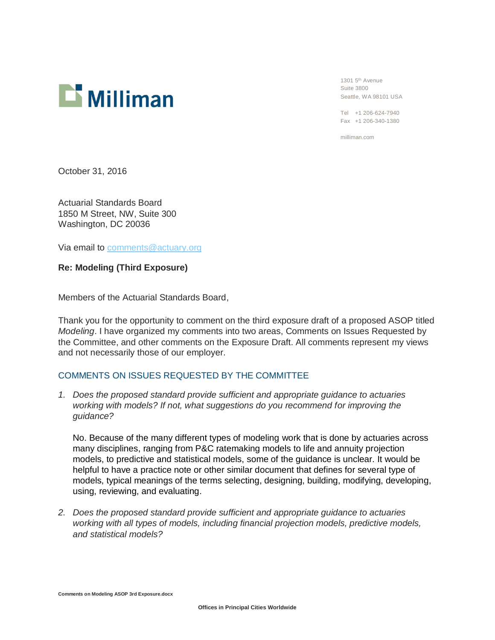

1301 5th Avenue Suite 3800 Seattle, WA 98101 USA

Tel +1 206-624-7940 Fax +1 206-340-1380

milliman.com

October 31, 2016

Actuarial Standards Board 1850 M Street, NW, Suite 300 Washington, DC 20036

Via email to [comments@actuary.org](mailto:comments@actuary.org)

**Re: Modeling (Third Exposure)**

Members of the Actuarial Standards Board,

Thank you for the opportunity to comment on the third exposure draft of a proposed ASOP titled *Modeling*. I have organized my comments into two areas, Comments on Issues Requested by the Committee, and other comments on the Exposure Draft. All comments represent my views and not necessarily those of our employer.

## COMMENTS ON ISSUES REQUESTED BY THE COMMITTEE

*1. Does the proposed standard provide sufficient and appropriate guidance to actuaries working with models? If not, what suggestions do you recommend for improving the guidance?*

No. Because of the many different types of modeling work that is done by actuaries across many disciplines, ranging from P&C ratemaking models to life and annuity projection models, to predictive and statistical models, some of the guidance is unclear. It would be helpful to have a practice note or other similar document that defines for several type of models, typical meanings of the terms selecting, designing, building, modifying, developing, using, reviewing, and evaluating.

*2. Does the proposed standard provide sufficient and appropriate guidance to actuaries working with all types of models, including financial projection models, predictive models, and statistical models?*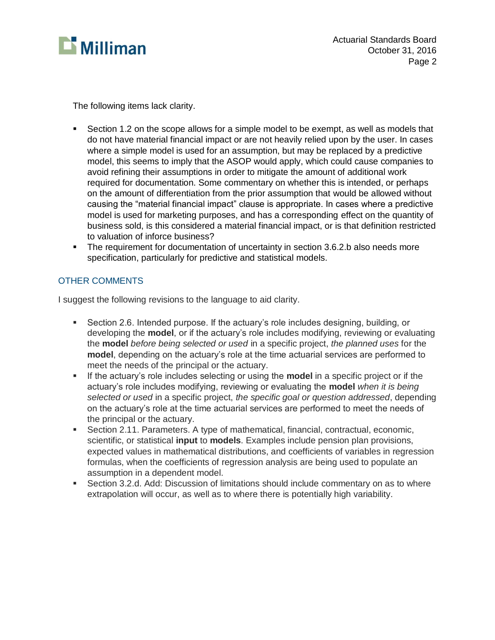

The following items lack clarity.

- **Section 1.2 on the scope allows for a simple model to be exempt, as well as models that** do not have material financial impact or are not heavily relied upon by the user. In cases where a simple model is used for an assumption, but may be replaced by a predictive model, this seems to imply that the ASOP would apply, which could cause companies to avoid refining their assumptions in order to mitigate the amount of additional work required for documentation. Some commentary on whether this is intended, or perhaps on the amount of differentiation from the prior assumption that would be allowed without causing the "material financial impact" clause is appropriate. In cases where a predictive model is used for marketing purposes, and has a corresponding effect on the quantity of business sold, is this considered a material financial impact, or is that definition restricted to valuation of inforce business?
- The requirement for documentation of uncertainty in section 3.6.2.b also needs more specification, particularly for predictive and statistical models.

## OTHER COMMENTS

I suggest the following revisions to the language to aid clarity.

- Section 2.6. Intended purpose. If the actuary's role includes designing, building, or developing the **model**, or if the actuary's role includes modifying, reviewing or evaluating the **model** *before being selected or used* in a specific project, *the planned uses* for the **model**, depending on the actuary's role at the time actuarial services are performed to meet the needs of the principal or the actuary.
- If the actuary's role includes selecting or using the **model** in a specific project or if the actuary's role includes modifying, reviewing or evaluating the **model** *when it is being selected or used* in a specific project, *the specific goal or question addressed*, depending on the actuary's role at the time actuarial services are performed to meet the needs of the principal or the actuary.
- Section 2.11. Parameters. A type of mathematical, financial, contractual, economic, scientific, or statistical **input** to **models**. Examples include pension plan provisions, expected values in mathematical distributions, and coefficients of variables in regression formulas, when the coefficients of regression analysis are being used to populate an assumption in a dependent model.
- Section 3.2.d. Add: Discussion of limitations should include commentary on as to where extrapolation will occur, as well as to where there is potentially high variability.